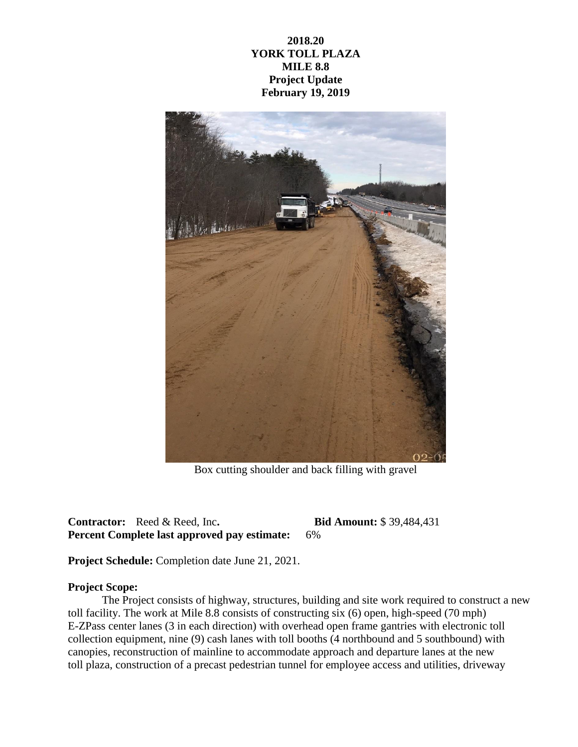## **2018.20 YORK TOLL PLAZA MILE 8.8 Project Update February 19, 2019**



Box cutting shoulder and back filling with gravel

## **Contractor:** Reed & Reed, Inc**. Bid Amount:** \$ 39,484,431 **Percent Complete last approved pay estimate:** 6%

**Project Schedule:** Completion date June 21, 2021.

## **Project Scope:**

The Project consists of highway, structures, building and site work required to construct a new toll facility. The work at Mile 8.8 consists of constructing six (6) open, high-speed (70 mph) E-ZPass center lanes (3 in each direction) with overhead open frame gantries with electronic toll collection equipment, nine (9) cash lanes with toll booths (4 northbound and 5 southbound) with canopies, reconstruction of mainline to accommodate approach and departure lanes at the new toll plaza, construction of a precast pedestrian tunnel for employee access and utilities, driveway